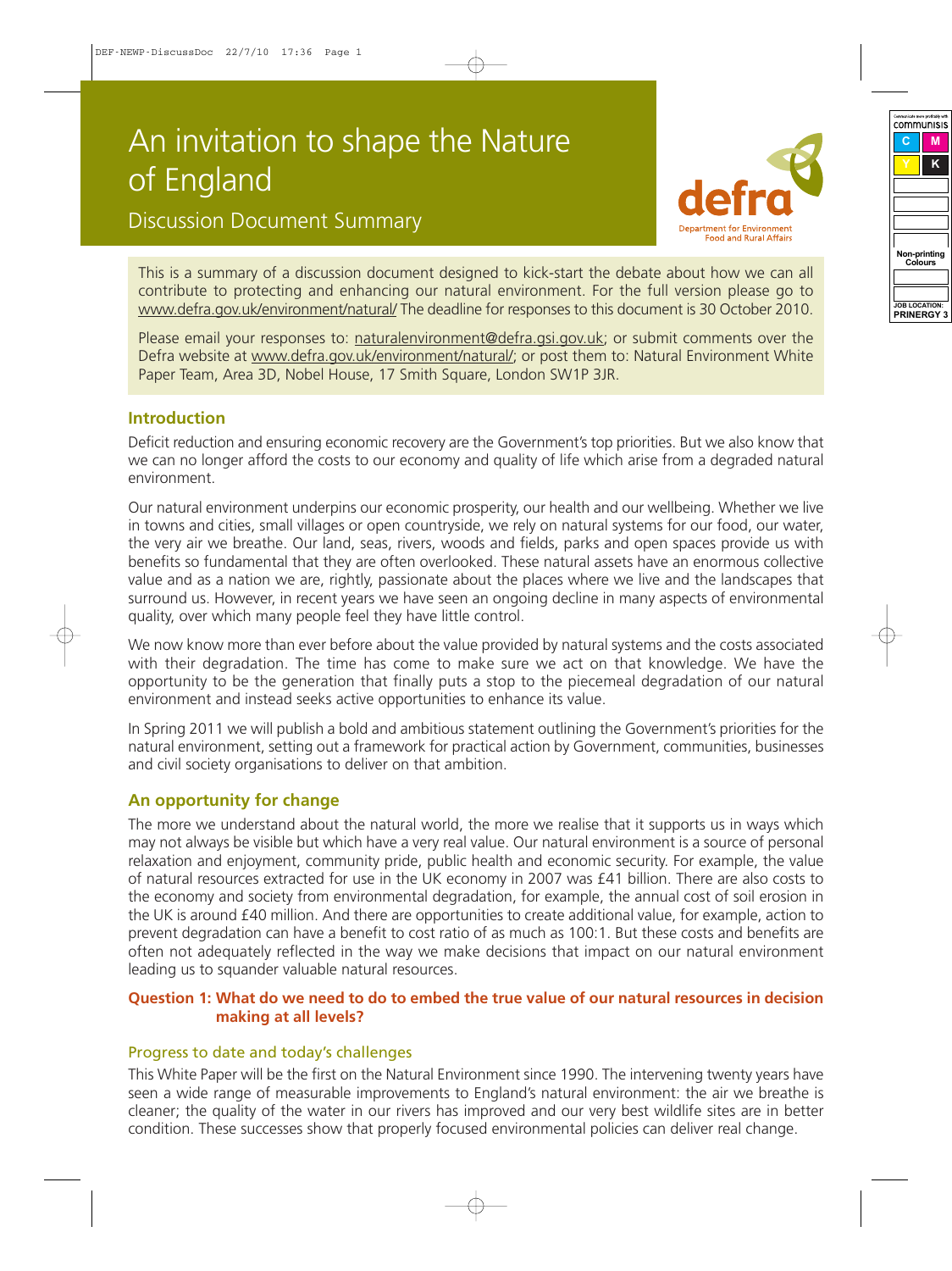# An invitation to shape the Nature of England

# **Food and Rural Affair**

Discussion Document Summary

This is a summary of a discussion document designed to kick-start the debate about how we can all contribute to protecting and enhancing our natural environment. For the full version please go to [www.defra.gov.uk/environment/natural/](http://www.defra.gov.uk/environment/natural/) The deadline for responses to this document is 30 October 2010.

Please email your responses to: [naturalenvironment@defra.gsi.gov.uk;](mailto:naturalenvironment@defra.gsi.gov.uk) or submit comments over the Defra website at [www.defra.gov.uk/environment/natural/;](http://www.defra.gov.uk/environment/natural/) or post them to: Natural Environment White Paper Team, Area 3D, Nobel House, 17 Smith Square, London SW1P 3JR.

# **Introduction**

Deficit reduction and ensuring economic recovery are the Government's top priorities. But we also know that we can no longer afford the costs to our economy and quality of life which arise from a degraded natural environment.

Our natural environment underpins our economic prosperity, our health and our wellbeing. Whether we live in towns and cities, small villages or open countryside, we rely on natural systems for our food, our water, the very air we breathe. Our land, seas, rivers, woods and fields, parks and open spaces provide us with benefits so fundamental that they are often overlooked. These natural assets have an enormous collective value and as a nation we are, rightly, passionate about the places where we live and the landscapes that surround us. However, in recent years we have seen an ongoing decline in many aspects of environmental quality, over which many people feel they have little control.

We now know more than ever before about the value provided by natural systems and the costs associated with their degradation. The time has come to make sure we act on that knowledge. We have the opportunity to be the generation that finally puts a stop to the piecemeal degradation of our natural environment and instead seeks active opportunities to enhance its value.

In Spring 2011 we will publish a bold and ambitious statement outlining the Government's priorities for the natural environment, setting out a framework for practical action by Government, communities, businesses and civil society organisations to deliver on that ambition.

# **An opportunity for change**

The more we understand about the natural world, the more we realise that it supports us in ways which may not always be visible but which have a very real value. Our natural environment is a source of personal relaxation and enjoyment, community pride, public health and economic security. For example, the value of natural resources extracted for use in the UK economy in 2007 was £41 billion. There are also costs to the economy and society from environmental degradation, for example, the annual cost of soil erosion in the UK is around £40 million. And there are opportunities to create additional value, for example, action to prevent degradation can have a benefit to cost ratio of as much as 100:1. But these costs and benefits are often not adequately reflected in the way we make decisions that impact on our natural environment leading us to squander valuable natural resources.

#### Question 1: What do we need to do to embed the true value of our natural resources in decision **making at all levels?**

#### Progress to date and today's challenges

This White Paper will be the first on the Natural Environment since 1990. The intervening twenty years have seen a wide range of measurable improvements to England's natural environment: the air we breathe is cleaner; the quality of the water in our rivers has improved and our very best wildlife sites are in better condition. These successes show that properly focused environmental policies can deliver real change.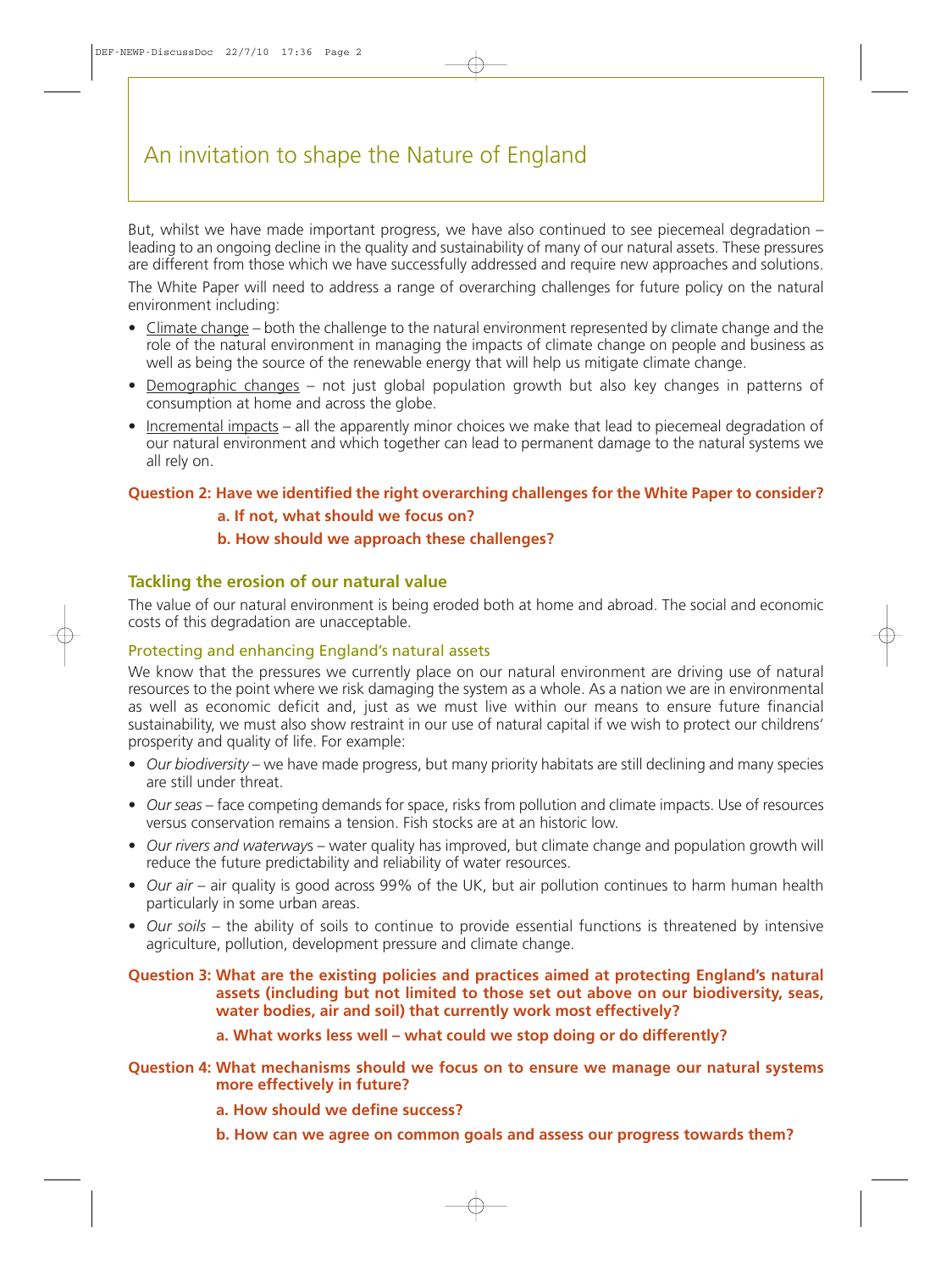But, whilst we have made important progress, we have also continued to see piecemeal degradation – leading to an ongoing decline in the quality and sustainability of many of our natural assets. These pressures are different from those which we have successfully addressed and require new approaches and solutions.

The White Paper will need to address a range of overarching challenges for future policy on the natural environment including:

- Climate change both the challenge to the natural environment represented by climate change and the role of the natural environment in managing the impacts of climate change on people and business as well as being the source of the renewable energy that will help us mitigate climate change.
- Demographic changes not just global population growth but also key changes in patterns of consumption at home and across the globe.
- Incremental impacts all the apparently minor choices we make that lead to piecemeal degradation of our natural environment and which together can lead to permanent damage to the natural systems we all rely on.

#### **Question 2: Have we identified the right overarching challenges for the White Paper to consider?**

- **a. If not, what should we focus on?**
- **b. How should we approach these challenges?**

# **Tackling the erosion of our natural value**

The value of our natural environment is being eroded both at home and abroad. The social and economic costs of this degradation are unacceptable.

#### Protecting and enhancing England's natural assets

We know that the pressures we currently place on our natural environment are driving use of natural resources to the point where we risk damaging the system as a whole. As a nation we are in environmental as well as economic deficit and, just as we must live within our means to ensure future financial sustainability, we must also show restraint in our use of natural capital if we wish to protect our childrens' prosperity and quality of life. For example:

- *Our biodiversity* we have made progress, but many priority habitats are still declining and many species are still under threat.
- *Our seas* face competing demands for space, risks from pollution and climate impacts. Use of resources versus conservation remains a tension. Fish stocks are at an historic low.
- *Our rivers and waterway*s water quality has improved, but climate change and population growth will reduce the future predictability and reliability of water resources.
- *Our air* air quality is good across 99% of the UK, but air pollution continues to harm human health particularly in some urban areas.
- *Our soils* the ability of soils to continue to provide essential functions is threatened by intensive agriculture, pollution, development pressure and climate change.

**Question 3: What are the existing policies and practices aimed at protecting England's natural assets (including but not limited to those set out above on our biodiversity, seas, water bodies, air and soil) that currently work most effectively?**

**a. What works less well – what could we stop doing or do differently?**

**Question 4: What mechanisms should we focus on to ensure we manage our natural systems more effectively in future?**

- **a. How should we define success?**
- **b. How can we agree on common goals and assess our progress towards them?**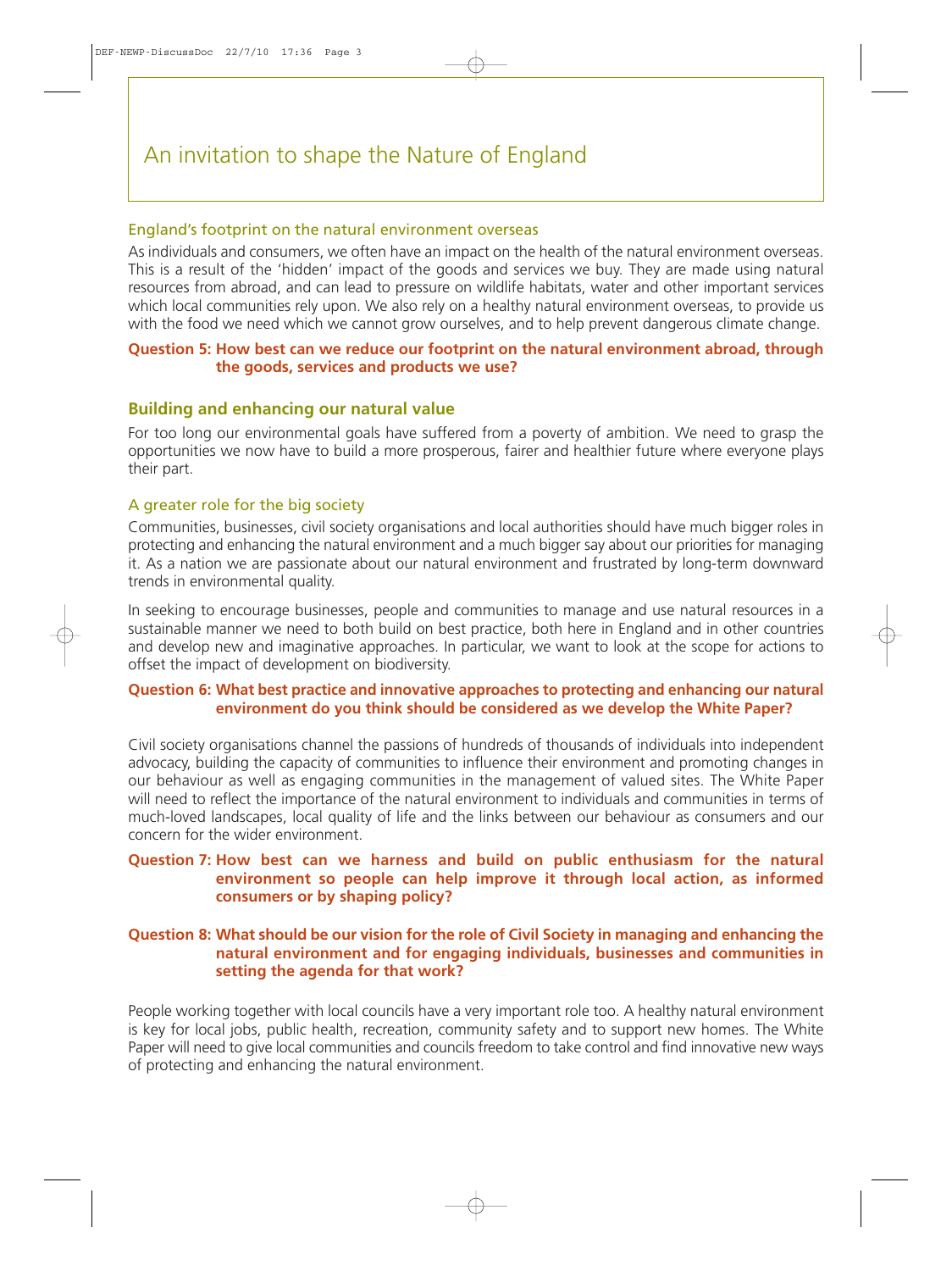#### England's footprint on the natural environment overseas

As individuals and consumers, we often have an impact on the health of the natural environment overseas. This is a result of the 'hidden' impact of the goods and services we buy. They are made using natural resources from abroad, and can lead to pressure on wildlife habitats, water and other important services which local communities rely upon. We also rely on a healthy natural environment overseas, to provide us with the food we need which we cannot grow ourselves, and to help prevent dangerous climate change.

#### **Question 5: How best can we reduce our footprint on the natural environment abroad, through the goods, services and products we use?**

#### **Building and enhancing our natural value**

For too long our environmental goals have suffered from a poverty of ambition. We need to grasp the opportunities we now have to build a more prosperous, fairer and healthier future where everyone plays their part.

#### A greater role for the big society

Communities, businesses, civil society organisations and local authorities should have much bigger roles in protecting and enhancing the natural environment and a much bigger say about our priorities for managing it. As a nation we are passionate about our natural environment and frustrated by long-term downward trends in environmental quality.

In seeking to encourage businesses, people and communities to manage and use natural resources in a sustainable manner we need to both build on best practice, both here in England and in other countries and develop new and imaginative approaches. In particular, we want to look at the scope for actions to offset the impact of development on biodiversity.

#### **Question 6: What best practice and innovative approaches to protecting and enhancing our natural environment do you think should be considered as we develop the White Paper?**

Civil society organisations channel the passions of hundreds of thousands of individuals into independent advocacy, building the capacity of communities to influence their environment and promoting changes in our behaviour as well as engaging communities in the management of valued sites. The White Paper will need to reflect the importance of the natural environment to individuals and communities in terms of much-loved landscapes, local quality of life and the links between our behaviour as consumers and our concern for the wider environment.

#### **Question 7: How best can we harness and build on public enthusiasm for the natural environment so people can help improve it through local action, as informed consumers or by shaping policy?**

#### **Question 8: What should be our vision for the role of Civil Society in managing and enhancing the natural environment and for engaging individuals, businesses and communities in setting the agenda for that work?**

People working together with local councils have a very important role too. A healthy natural environment is key for local jobs, public health, recreation, community safety and to support new homes. The White Paper will need to give local communities and councils freedom to take control and find innovative new ways of protecting and enhancing the natural environment.